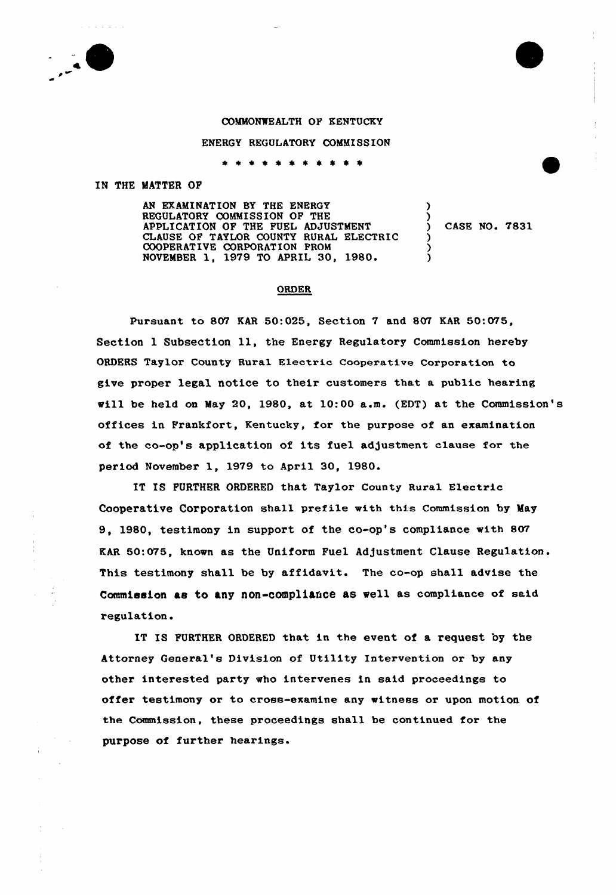## COMMONWEALTH OF KENTUCKY

## ENERGY REGULATORY COMMISSION

\* \* \* \* \* \* \* \* \* \* \*

## IN THE MATTER OF

AN EXAMINATION BY THE ENERGY REGULATORY COMMISSION OF THE APPLICATION OF THE FUEL ADJUSTMENT CLAUSE OF TAYLOR COUNTY RURAL ELECTRIC COOPERATIVE CORPORATION FROM NOVEMBER 1, 1979 TO APRIL 30, 1980'

CASE NO. 7831

)

) .<br>? )

## ORDER

Pursuant to 807 KAR 50:025, Section 7 and 807 KAR 50:075, Section 1 Subsection 11, the Energy Regulatory Commission hereby ORDERS Taylor County Ruxal Electric cooperative Corporation to give proper legal notice to their customers that a public hearing vill be held on May 20, 1980, at 10:00 a.m. (EDT) at the Commission's offices in Frankfort, Kentucky, for the purpose of an examination of the co-op's application of its fuel adjustment clause for the period November 1, 1979 to April 30, 1980.

IT IS FURTHER ORDERED that Taylor County Rural Electric Cooperative Corporation shall prefile with this Commission by May 9, 1980, testimony in support of the co-op's compliance vith 807 KAR 60:075, knovn as the Uniform Fuel Ad)ustment Clause Regulation. This testimony shall be by affidavit. The co-op shall advise the Commission ae to any non-compliance as Well as compliance of said x'egulation.

IT IS FURTHER ORDERED that in the event of a request by the Attorney General's Division of Utility Intervention or by any other interested party vho intervenes in said proceedings to offer testimony or to cross-examine any vitness or upon motion of the Commission, these proceedings shall be continued for the purpose of further hearings.